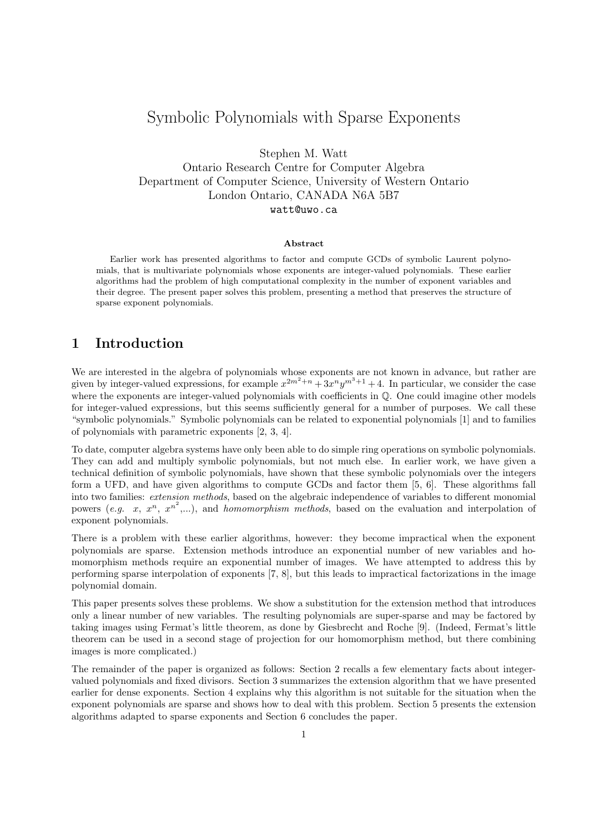# Symbolic Polynomials with Sparse Exponents

Stephen M. Watt

Ontario Research Centre for Computer Algebra Department of Computer Science, University of Western Ontario London Ontario, CANADA N6A 5B7

watt@uwo.ca

#### Abstract

Earlier work has presented algorithms to factor and compute GCDs of symbolic Laurent polynomials, that is multivariate polynomials whose exponents are integer-valued polynomials. These earlier algorithms had the problem of high computational complexity in the number of exponent variables and their degree. The present paper solves this problem, presenting a method that preserves the structure of sparse exponent polynomials.

# 1 Introduction

We are interested in the algebra of polynomials whose exponents are not known in advance, but rather are given by integer-valued expressions, for example  $x^{2m^2+n}+3x^n y^{m^3+1}+4$ . In particular, we consider the case where the exponents are integer-valued polynomials with coefficients in  $\mathbb Q$ . One could imagine other models for integer-valued expressions, but this seems sufficiently general for a number of purposes. We call these "symbolic polynomials." Symbolic polynomials can be related to exponential polynomials [1] and to families of polynomials with parametric exponents [2, 3, 4].

To date, computer algebra systems have only been able to do simple ring operations on symbolic polynomials. They can add and multiply symbolic polynomials, but not much else. In earlier work, we have given a technical definition of symbolic polynomials, have shown that these symbolic polynomials over the integers form a UFD, and have given algorithms to compute GCDs and factor them [5, 6]. These algorithms fall into two families: extension methods, based on the algebraic independence of variables to different monomial powers (e.g. x,  $x^n$ ,  $x^{n^2}$ ,...), and *homomorphism methods*, based on the evaluation and interpolation of exponent polynomials.

There is a problem with these earlier algorithms, however: they become impractical when the exponent polynomials are sparse. Extension methods introduce an exponential number of new variables and homomorphism methods require an exponential number of images. We have attempted to address this by performing sparse interpolation of exponents [7, 8], but this leads to impractical factorizations in the image polynomial domain.

This paper presents solves these problems. We show a substitution for the extension method that introduces only a linear number of new variables. The resulting polynomials are super-sparse and may be factored by taking images using Fermat's little theorem, as done by Giesbrecht and Roche [9]. (Indeed, Fermat's little theorem can be used in a second stage of projection for our homomorphism method, but there combining images is more complicated.)

The remainder of the paper is organized as follows: Section 2 recalls a few elementary facts about integervalued polynomials and fixed divisors. Section 3 summarizes the extension algorithm that we have presented earlier for dense exponents. Section 4 explains why this algorithm is not suitable for the situation when the exponent polynomials are sparse and shows how to deal with this problem. Section 5 presents the extension algorithms adapted to sparse exponents and Section 6 concludes the paper.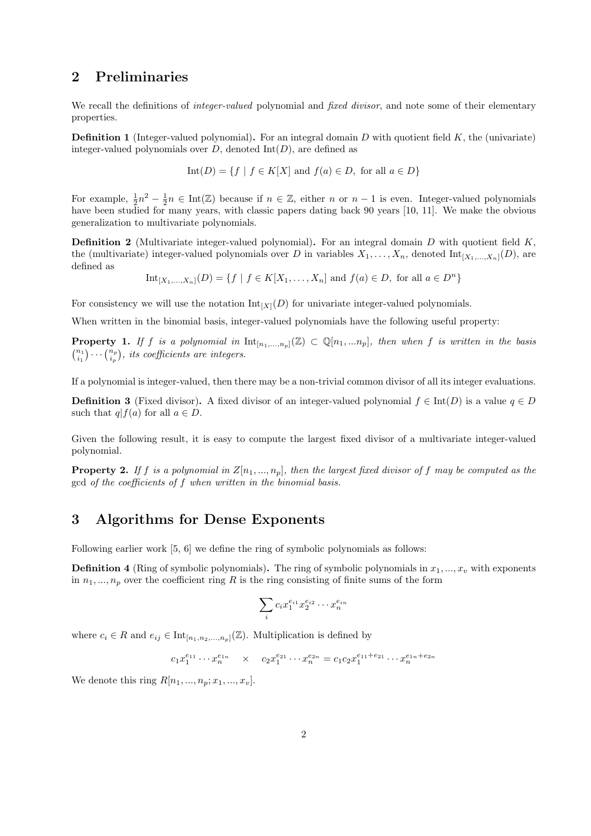# 2 Preliminaries

We recall the definitions of *integer-valued* polynomial and *fixed divisor*, and note some of their elementary properties.

**Definition 1** (Integer-valued polynomial). For an integral domain D with quotient field  $K$ , the (univariate) integer-valued polynomials over  $D$ , denoted  $Int(D)$ , are defined as

$$
Int(D) = \{ f \mid f \in K[X] \text{ and } f(a) \in D, \text{ for all } a \in D \}
$$

For example,  $\frac{1}{2}n^2 - \frac{1}{2}n \in \text{Int}(\mathbb{Z})$  because if  $n \in \mathbb{Z}$ , either n or  $n-1$  is even. Integer-valued polynomials have been studied for many years, with classic papers dating back 90 years [10, 11]. We make the obvious generalization to multivariate polynomials.

**Definition 2** (Multivariate integer-valued polynomial). For an integral domain D with quotient field  $K$ , the (multivariate) integer-valued polynomials over D in variables  $X_1, \ldots, X_n$ , denoted  $\text{Int}_{[X_1,\ldots,X_n]}(D)$ , are defined as

 $\text{Int}_{[X_1,...,X_n]}(D) = \{f \mid f \in K[X_1,...,X_n] \text{ and } f(a) \in D, \text{ for all } a \in D^n\}$ 

For consistency we will use the notation  $\text{Int}_{[X]}(D)$  for univariate integer-valued polynomials.

When written in the binomial basis, integer-valued polynomials have the following useful property:

**Property 1.** If f is a polynomial in  $\text{Int}_{[n_1,...,n_n]}(\mathbb{Z}) \subset \mathbb{Q}[n_1,...n_p]$ , then when f is written in the basis  $\binom{n_1}{i_1} \cdots \binom{n_p}{i_p}$ , its coefficients are integers.

If a polynomial is integer-valued, then there may be a non-trivial common divisor of all its integer evaluations.

**Definition 3** (Fixed divisor). A fixed divisor of an integer-valued polynomial  $f \in Int(D)$  is a value  $q \in D$ such that  $q|f(a)$  for all  $a \in D$ .

Given the following result, it is easy to compute the largest fixed divisor of a multivariate integer-valued polynomial.

**Property 2.** If f is a polynomial in  $Z[n_1, ..., n_p]$ , then the largest fixed divisor of f may be computed as the gcd of the coefficients of f when written in the binomial basis.

# 3 Algorithms for Dense Exponents

Following earlier work [5, 6] we define the ring of symbolic polynomials as follows:

**Definition 4** (Ring of symbolic polynomials). The ring of symbolic polynomials in  $x_1, ..., x_v$  with exponents in  $n_1, ..., n_p$  over the coefficient ring R is the ring consisting of finite sums of the form

$$
\sum_i c_i x_1^{e_{i1}} x_2^{e_{i2}} \cdots x_n^{e_{in}}
$$

where  $c_i \in R$  and  $e_{ij} \in \text{Int}_{[n_1,n_2,...,n_n]}(\mathbb{Z})$ . Multiplication is defined by

$$
c_1 x_1^{e_{11}} \cdots x_n^{e_{1n}} \quad \times \quad c_2 x_1^{e_{21}} \cdots x_n^{e_{2n}} = c_1 c_2 x_1^{e_{11} + e_{21}} \cdots x_n^{e_{1n} + e_{2n}}
$$

We denote this ring  $R[n_1, ..., n_n; x_1, ..., x_n]$ .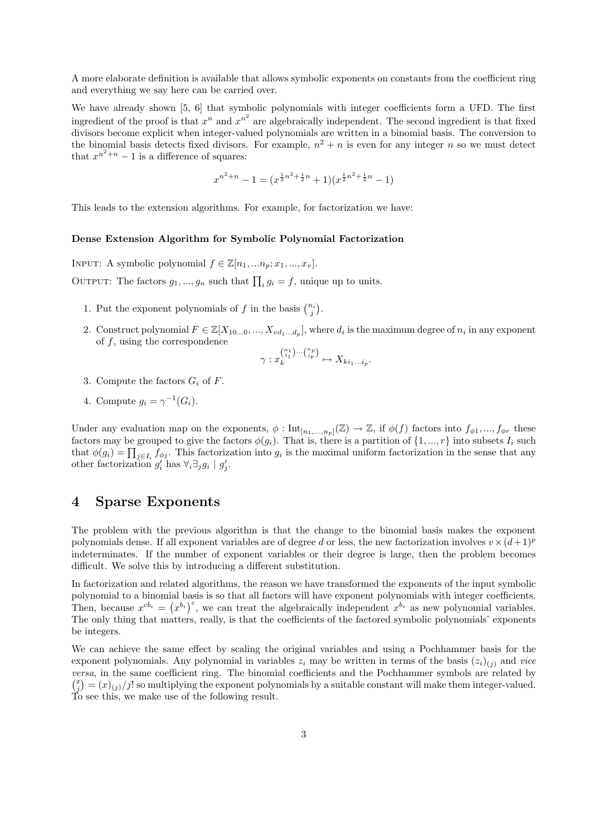A more elaborate definition is available that allows symbolic exponents on constants from the coefficient ring and everything we say here can be carried over.

We have already shown [5, 6] that symbolic polynomials with integer coefficients form a UFD. The first ingredient of the proof is that  $x^n$  and  $x^{n^2}$  are algebraically independent. The second ingredient is that fixed divisors become explicit when integer-valued polynomials are written in a binomial basis. The conversion to the binomial basis detects fixed divisors. For example,  $n^2 + n$  is even for any integer n so we must detect that  $x^{n^2+n}-1$  is a difference of squares:

$$
x^{n^2+n} - 1 = (x^{\frac{1}{2}n^2 + \frac{1}{2}n} + 1)(x^{\frac{1}{2}n^2 + \frac{1}{2}n} - 1)
$$

This leads to the extension algorithms. For example, for factorization we have:

#### Dense Extension Algorithm for Symbolic Polynomial Factorization

INPUT: A symbolic polynomial  $f \in \mathbb{Z}[n_1, ..., n_p; x_1, ..., x_v].$ OUTPUT: The factors  $g_1, ..., g_n$  such that  $\prod_i g_i = f$ , unique up to units.

- 1. Put the exponent polynomials of f in the basis  $\binom{n_i}{j}$ .
- 2. Construct polynomial  $F \in \mathbb{Z}[X_{10...0},...,X_{vd_1...d_p}]$ , where  $d_i$  is the maximum degree of  $n_i$  in any exponent of  $f$ , using the correspondence

$$
\gamma: x_k^{n_1 \choose i_1} \cdots {n_p \choose i_p} \mapsto X_{ki_1...i_p}.
$$

- 3. Compute the factors  $G_i$  of F.
- 4. Compute  $g_i = \gamma^{-1}(G_i)$ .

Under any evaluation map on the exponents,  $\phi: \text{Int}_{[n_1,...,n_p]}(\mathbb{Z}) \to \mathbb{Z}$ , if  $\phi(f)$  factors into  $f_{\phi 1},..., f_{\phi r}$  these factors may be grouped to give the factors  $\phi(g_i)$ . That is, there is a partition of  $\{1, ..., r\}$  into subsets  $I_i$  such that  $\phi(g_i) = \prod_{j \in I_i} f_{\phi j}$ . This factorization into  $g_i$  is the maximal uniform factorization in the sense that any other factorization  $g'_i$  has  $\forall_i \exists_j g_i \mid g'_j$ .

### 4 Sparse Exponents

The problem with the previous algorithm is that the change to the binomial basis makes the exponent polynomials dense. If all exponent variables are of degree d or less, the new factorization involves  $v \times (d+1)^p$ indeterminates. If the number of exponent variables or their degree is large, then the problem becomes difficult. We solve this by introducing a different substitution.

In factorization and related algorithms, the reason we have transformed the exponents of the input symbolic polynomial to a binomial basis is so that all factors will have exponent polynomials with integer coefficients. Then, because  $x^{cb_i} = (x^{b_i})^c$ , we can treat the algebraically independent  $x^{b_i}$  as new polynomial variables. The only thing that matters, really, is that the coefficients of the factored symbolic polynomials' exponents be integers.

We can achieve the same effect by scaling the original variables and using a Pochhammer basis for the exponent polynomials. Any polynomial in variables  $z_i$  may be written in terms of the basis  $(z_i)_{(i)}$  and vice versa, in the same coefficient ring. The binomial coefficients and the Pochhammer symbols are related by  $\binom{x}{j} = (x)_{(j)}/j!$  so multiplying the exponent polynomials by a suitable constant will make them integer-valued. To see this, we make use of the following result.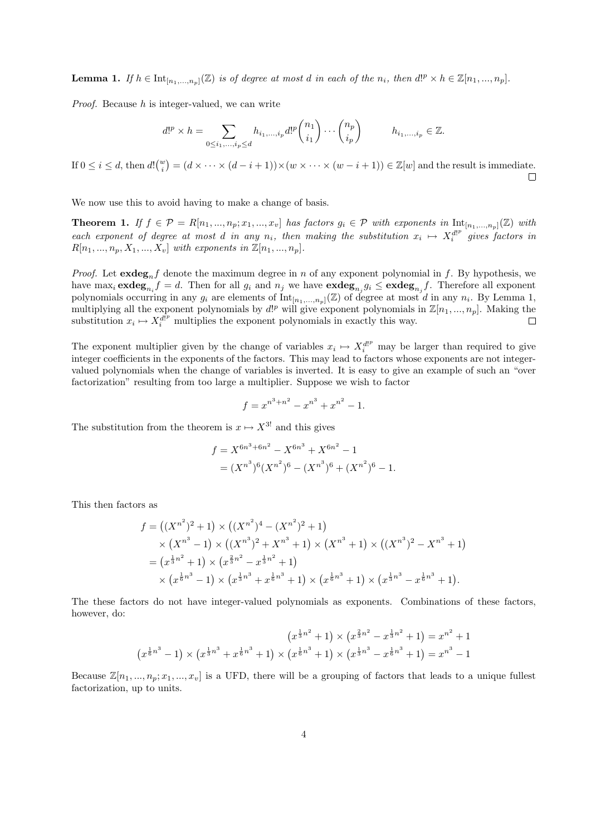**Lemma 1.** If  $h \in \text{Int}_{[n_1,...,n_p]}(\mathbb{Z})$  is of degree at most d in each of the  $n_i$ , then  $d!^p \times h \in \mathbb{Z}[n_1,...,n_p]$ .

Proof. Because h is integer-valued, we can write

$$
d!^p \times h = \sum_{0 \le i_1, \dots, i_p \le d} h_{i_1, \dots, i_p} d!^p \binom{n_1}{i_1} \cdots \binom{n_p}{i_p} \qquad h_{i_1, \dots, i_p} \in \mathbb{Z}.
$$

If  $0 \leq i \leq d$ , then  $d!{w \choose i} = (d \times \cdots \times (d-i+1)) \times (w \times \cdots \times (w-i+1)) \in \mathbb{Z}[w]$  and the result is immediate.  $\Box$ 

We now use this to avoid having to make a change of basis.

**Theorem 1.** If  $f \in \mathcal{P} = R[n_1, ..., n_p; x_1, ..., x_v]$  has factors  $g_i \in \mathcal{P}$  with exponents in  $\text{Int}_{[n_1, ..., n_p]}(\mathbb{Z})$  with each exponent of degree at most d in any  $n_i$ , then making the substitution  $x_i \mapsto X_i^{d!^p}$  gives factors in  $R[n_1, ..., n_n, X_1, ..., X_n]$  with exponents in  $\mathbb{Z}[n_1, ..., n_n]$ .

*Proof.* Let  ${\bf exdeg}_n f$  denote the maximum degree in n of any exponent polynomial in f. By hypothesis, we have max<sub>i</sub>  $\mathbf{exdeg}_{n_i} f = d$ . Then for all  $g_i$  and  $n_j$  we have  $\mathbf{exdeg}_{n_j} g_i \leq \mathbf{exdeg}_{n_j} f$ . Therefore all exponent polynomials occurring in any  $g_i$  are elements of  $Int_{[n_1,...,n_p]}(\mathbb{Z})$  of degree at most d in any  $n_i$ . By Lemma 1, multiplying all the exponent polynomials by  $d!^p$  will give exponent polynomials in  $\mathbb{Z}[n_1, ..., n_p]$ . Making the substitution  $x_i \mapsto X_i^{d^p}$  multiplies the exponent polynomials in exactly this way.  $\Box$ 

The exponent multiplier given by the change of variables  $x_i \mapsto X_i^{d}$  may be larger than required to give integer coefficients in the exponents of the factors. This may lead to factors whose exponents are not integervalued polynomials when the change of variables is inverted. It is easy to give an example of such an "over factorization" resulting from too large a multiplier. Suppose we wish to factor

$$
f = x^{n^3 + n^2} - x^{n^3} + x^{n^2} - 1.
$$

The substitution from the theorem is  $x \mapsto X^{3!}$  and this gives

$$
f = X^{6n^3 + 6n^2} - X^{6n^3} + X^{6n^2} - 1
$$
  
=  $(X^{n^3})^6 (X^{n^2})^6 - (X^{n^3})^6 + (X^{n^2})^6 - 1.$ 

This then factors as

$$
f = ((X^{n^2})^2 + 1) \times ((X^{n^2})^4 - (X^{n^2})^2 + 1)
$$
  
\n
$$
\times (X^{n^3} - 1) \times ((X^{n^3})^2 + X^{n^3} + 1) \times (X^{n^3} + 1) \times ((X^{n^3})^2 - X^{n^3} + 1)
$$
  
\n
$$
= (x^{\frac{1}{3}n^2} + 1) \times (x^{\frac{2}{3}n^2} - x^{\frac{1}{3}n^2} + 1)
$$
  
\n
$$
\times (x^{\frac{1}{6}n^3} - 1) \times (x^{\frac{1}{3}n^3} + x^{\frac{1}{6}n^3} + 1) \times (x^{\frac{1}{6}n^3} + 1) \times (x^{\frac{1}{3}n^3} - x^{\frac{1}{6}n^3} + 1).
$$

The these factors do not have integer-valued polynomials as exponents. Combinations of these factors, however, do:

$$
(x^{\frac{1}{3}n^2} + 1) \times (x^{\frac{2}{3}n^2} - x^{\frac{1}{3}n^2} + 1) = x^{n^2} + 1
$$
  

$$
(x^{\frac{1}{6}n^3} - 1) \times (x^{\frac{1}{3}n^3} + x^{\frac{1}{6}n^3} + 1) \times (x^{\frac{1}{6}n^3} + 1) \times (x^{\frac{1}{3}n^3} - x^{\frac{1}{6}n^3} + 1) = x^{n^3} - 1
$$

Because  $\mathbb{Z}[n_1, ..., n_p; x_1, ..., x_v]$  is a UFD, there will be a grouping of factors that leads to a unique fullest factorization, up to units.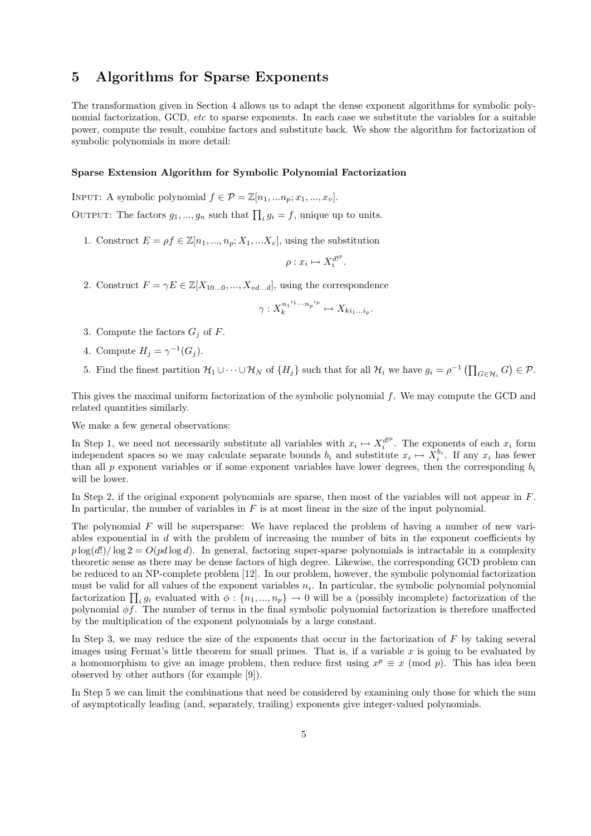### 5 Algorithms for Sparse Exponents

The transformation given in Section 4 allows us to adapt the dense exponent algorithms for symbolic polynomial factorization, GCD, etc to sparse exponents. In each case we substitute the variables for a suitable power, compute the result, combine factors and substitute back. We show the algorithm for factorization of symbolic polynomials in more detail:

#### Sparse Extension Algorithm for Symbolic Polynomial Factorization

INPUT: A symbolic polynomial  $f \in \mathcal{P} = \mathbb{Z}[n_1, ..., n_p; x_1, ..., x_v].$ OUTPUT: The factors  $g_1, ..., g_n$  such that  $\prod_i g_i = f$ , unique up to units.

1. Construct  $E = \rho f \in \mathbb{Z}[n_1, ..., n_p; X_1, ... X_v]$ , using the substitution

$$
\rho: x_i \mapsto X_i^{d!^p}
$$

.

2. Construct  $F = \gamma E \in \mathbb{Z}[X_{10...0},...,X_{vd...d}]$ , using the correspondence

$$
\gamma: X_k^{n_1^{i_1} \cdots n_p^{i_p}} \mapsto X_{ki_1...i_p}.
$$

- 3. Compute the factors  $G_i$  of F.
- 4. Compute  $H_j = \gamma^{-1}(G_j)$ .
- 5. Find the finest partition  $\mathcal{H}_1 \cup \cdots \cup \mathcal{H}_N$  of  $\{H_j\}$  such that for all  $\mathcal{H}_i$  we have  $g_i = \rho^{-1} \left( \prod_{G \in \mathcal{H}_i} G \right) \in \mathcal{P}$ .

This gives the maximal uniform factorization of the symbolic polynomial f. We may compute the GCD and related quantities similarly.

We make a few general observations:

In Step 1, we need not necessarily substitute all variables with  $x_i \mapsto X_i^{d!^p}$ . The exponents of each  $x_i$  form independent spaces so we may calculate separate bounds  $b_i$  and substitute  $x_i \mapsto X_i^{b_i}$ . If any  $x_i$  has fewer than all p exponent variables or if some exponent variables have lower degrees, then the corresponding  $b_i$ will be lower.

In Step 2, if the original exponent polynomials are sparse, then most of the variables will not appear in F. In particular, the number of variables in  $F$  is at most linear in the size of the input polynomial.

The polynomial  $F$  will be supersparse: We have replaced the problem of having a number of new variables exponential in  $d$  with the problem of increasing the number of bits in the exponent coefficients by  $p \log(d!) / \log 2 = O(p d \log d)$ . In general, factoring super-sparse polynomials is intractable in a complexity theoretic sense as there may be dense factors of high degree. Likewise, the corresponding GCD problem can be reduced to an NP-complete problem [12]. In our problem, however, the symbolic polynomial factorization must be valid for all values of the exponent variables  $n_i$ . In particular, the symbolic polynomial polynomial factorization  $\prod_i g_i$  evaluated with  $\phi: \{n_1, ..., n_p\} \to 0$  will be a (possibly incomplete) factorization of the polynomial  $\phi f$ . The number of terms in the final symbolic polynomial factorization is therefore unaffected by the multiplication of the exponent polynomials by a large constant.

In Step 3, we may reduce the size of the exponents that occur in the factorization of  $F$  by taking several images using Fermat's little theorem for small primes. That is, if a variable  $x$  is going to be evaluated by a homomorphism to give an image problem, then reduce first using  $x^p \equiv x \pmod{p}$ . This has idea been observed by other authors (for example [9]).

In Step 5 we can limit the combinations that need be considered by examining only those for which the sum of asymptotically leading (and, separately, trailing) exponents give integer-valued polynomials.